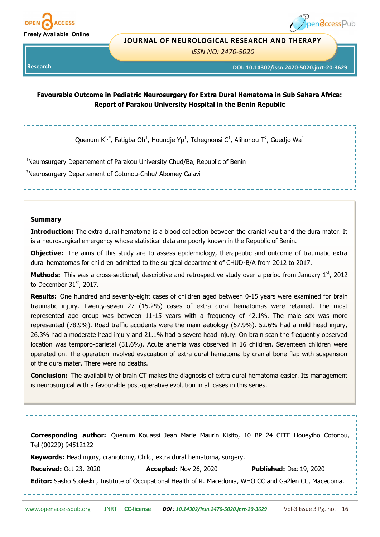

# pen**access** Pub

#### **JOURNAL OF NEUROLOGICAL RESEARCH AND THERAPY**

*ISSN NO: 2470-5020* 

**Research** 

**DOI: 10.14302/issn.2470-5020.jnrt-20-3629**

# **Favourable Outcome in Pediatric Neurosurgery for Extra Dural Hematoma in Sub Sahara Africa: Report of Parakou University Hospital in the Benin Republic**

Quenum K<sup>1,\*</sup>, Fatigba Oh<sup>1</sup>, Houndje Yp<sup>1</sup>, Tchegnonsi C<sup>1</sup>, Alihonou T<sup>2</sup>, Guedjo Wa<sup>1</sup>

<sup>1</sup>Neurosurgery Departement of Parakou University Chud/Ba, Republic of Benin

<sup>2</sup>Neurosurgery Departement of Cotonou-Cnhu/ Abomey Calavi

#### **Summary**

**Introduction:** The extra dural hematoma is a blood collection between the cranial vault and the dura mater. It is a neurosurgical emergency whose statistical data are poorly known in the Republic of Benin.

**Objective:** The aims of this study are to assess epidemiology, therapeutic and outcome of traumatic extra dural hematomas for children admitted to the surgical department of CHUD-B/A from 2012 to 2017.

**Methods:** This was a cross-sectional, descriptive and retrospective study over a period from January 1<sup>st</sup>, 2012 to December  $31<sup>st</sup>$ , 2017.

**Results:** One hundred and seventy-eight cases of children aged between 0-15 years were examined for brain traumatic injury. Twenty-seven 27 (15.2%) cases of extra dural hematomas were retained. The most represented age group was between 11-15 years with a frequency of 42.1%. The male sex was more represented (78.9%). Road traffic accidents were the main aetiology (57.9%). 52.6% had a mild head injury, 26.3% had a moderate head injury and 21.1% had a severe head injury. On brain scan the frequently observed location was temporo-parietal (31.6%). Acute anemia was observed in 16 children. Seventeen children were operated on. The operation involved evacuation of extra dural hematoma by cranial bone flap with suspension of the dura mater. There were no deaths.

**Conclusion:** The availability of brain CT makes the diagnosis of extra dural hematoma easier. Its management is neurosurgical with a favourable post-operative evolution in all cases in this series.

[www.openaccesspub.org](http://openaccesspub.org/) [JNRT](http://openaccesspub.org/journal/jnrt) **CC-[license](https://openaccesspub.org/journal/jnrt/copyright-license)** *DOI : [10.14302/issn.2470](https://doi.org/10.14302/issn.2470-5020.jnrt-20-3629)-5020.jnrt-20-3629* Vol-3 Issue 3 Pg. no.– 16 **Corresponding author:** Quenum Kouassi Jean Marie Maurin Kisito, 10 BP 24 CITE Houeyiho Cotonou, Tel (00229) 94512122 **Keywords:** Head injury, craniotomy, Child, extra dural hematoma, surgery. **Received:** Oct 23, 2020 **Accepted:** Nov 26, 2020 **Published:** Dec 19, 2020 **Editor:** Sasho Stoleski , Institute of Occupational Health of R. Macedonia, WHO CC and Ga2len CC, Macedonia.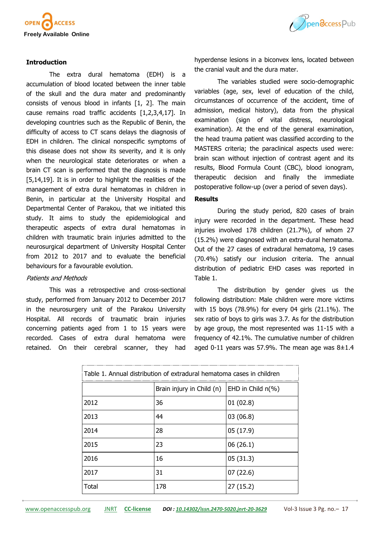

## **Introduction**

The extra dural hematoma (EDH) is a accumulation of blood located between the inner table of the skull and the dura mater and predominantly consists of venous blood in infants [1, 2]. The main cause remains road traffic accidents [1,2,3,4,17]. In developing countries such as the Republic of Benin, the difficulty of access to CT scans delays the diagnosis of EDH in children. The clinical nonspecific symptoms of this disease does not show its severity, and it is only when the neurological state deteriorates or when a brain CT scan is performed that the diagnosis is made [5,14,19]. It is in order to highlight the realities of the management of extra dural hematomas in children in Benin, in particular at the University Hospital and Departmental Center of Parakou, that we initiated this study. It aims to study the epidemiological and therapeutic aspects of extra dural hematomas in children with traumatic brain injuries admitted to the neurosurgical department of University Hospital Center from 2012 to 2017 and to evaluate the beneficial behaviours for a favourable evolution.

#### Patients and Methods

This was a retrospective and cross-sectional study, performed from January 2012 to December 2017 in the neurosurgery unit of the Parakou University Hospital. All records of traumatic brain injuries concerning patients aged from 1 to 15 years were recorded. Cases of extra dural hematoma were retained. On their cerebral scanner, they had



hyperdense lesions in a biconvex lens, located between the cranial vault and the dura mater.

The variables studied were socio-demographic variables (age, sex, level of education of the child, circumstances of occurrence of the accident, time of admission, medical history), data from the physical examination (sign of vital distress, neurological examination). At the end of the general examination, the head trauma patient was classified according to the MASTERS criteria; the paraclinical aspects used were: brain scan without injection of contrast agent and its results, Blood Formula Count (CBC), blood ionogram, therapeutic decision and finally the immediate postoperative follow-up (over a period of seven days).

#### **Results**

During the study period, 820 cases of brain injury were recorded in the department. These head injuries involved 178 children (21.7%), of whom 27 (15.2%) were diagnosed with an extra-dural hematoma. Out of the 27 cases of extradural hematoma, 19 cases (70.4%) satisfy our inclusion criteria. The annual distribution of pediatric EHD cases was reported in Table 1.

The distribution by gender gives us the following distribution: Male children were more victims with 15 boys (78.9%) for every 04 girls (21.1%). The sex ratio of boys to girls was 3.7. As for the distribution by age group, the most represented was 11-15 with a frequency of 42.1%. The cumulative number of children aged 0-11 years was 57.9%. The mean age was  $8\pm1.4$ 

| Table 1. Annual distribution of extradural hematoma cases in children |                           |                      |  |  |
|-----------------------------------------------------------------------|---------------------------|----------------------|--|--|
|                                                                       | Brain injury in Child (n) | EHD in Child $n(\%)$ |  |  |
| 2012                                                                  | 36                        | 01(02.8)             |  |  |
| 2013                                                                  | 44                        | 03(06.8)             |  |  |
| 2014                                                                  | 28                        | 05 (17.9)            |  |  |
| 2015                                                                  | 23                        | 06(26.1)             |  |  |
| 2016                                                                  | 16                        | 05(31.3)             |  |  |
| 2017                                                                  | 31                        | 07(22.6)             |  |  |
| Total                                                                 | 178                       | 27 (15.2)            |  |  |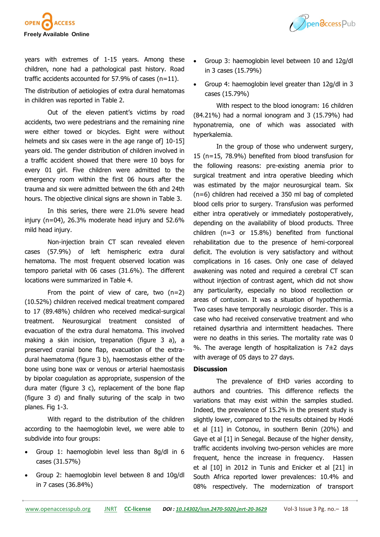

Ppendccess Pub

years with extremes of 1-15 years. Among these children, none had a pathological past history. Road traffic accidents accounted for 57.9% of cases  $(n=11)$ .

The distribution of aetiologies of extra dural hematomas in children was reported in Table 2.

Out of the eleven patient's victims by road accidents, two were pedestrians and the remaining nine were either towed or bicycles. Eight were without helmets and six cases were in the age range of 10-15 years old. The gender distribution of children involved in a traffic accident showed that there were 10 boys for every 01 girl. Five children were admitted to the emergency room within the first 06 hours after the trauma and six were admitted between the 6th and 24th hours. The objective clinical signs are shown in Table 3.

In this series, there were 21.0% severe head injury (n=04), 26.3% moderate head injury and 52.6% mild head injury.

Non-injection brain CT scan revealed eleven cases (57.9%) of left hemispheric extra dural hematoma. The most frequent observed location was temporo parietal with 06 cases (31.6%). The different locations were summarized in Table 4.

From the point of view of care, two (n=2) (10.52%) children received medical treatment compared to 17 (89.48%) children who received medical-surgical treatment. Neurosurgical treatment consisted of evacuation of the extra dural hematoma. This involved making a skin incision, trepanation (figure 3 a), a preserved cranial bone flap, evacuation of the extradural haematoma (figure 3 b), haemostasis either of the bone using bone wax or venous or arterial haemostasis by bipolar coagulation as appropriate, suspension of the dura mater (figure 3 c), replacement of the bone flap (figure 3 d) and finally suturing of the scalp in two planes. Fig 1-3.

With regard to the distribution of the children according to the haemoglobin level, we were able to subdivide into four groups:

- Group 1: haemoglobin level less than 8g/dl in 6 cases (31.57%)
- Group 2: haemoglobin level between 8 and 10g/dl in 7 cases (36.84%)
- Group 3: haemoglobin level between 10 and 12g/dl in 3 cases (15.79%)
- Group 4: haemoglobin level greater than 12g/dl in 3 cases (15.79%)

With respect to the blood ionogram: 16 children (84.21%) had a normal ionogram and 3 (15.79%) had hyponatremia, one of which was associated with hyperkalemia.

In the group of those who underwent surgery, 15 (n=15, 78.9%) benefited from blood transfusion for the following reasons: pre-existing anemia prior to surgical treatment and intra operative bleeding which was estimated by the major neurosurgical team. Six (n=6) children had received a 350 ml bag of completed blood cells prior to surgery. Transfusion was performed either intra operatively or immediately postoperatively, depending on the availability of blood products. Three children (n=3 or 15.8%) benefited from functional rehabilitation due to the presence of hemi-corporeal deficit. The evolution is very satisfactory and without complications in 16 cases. Only one case of delayed awakening was noted and required a cerebral CT scan without injection of contrast agent, which did not show any particularity, especially no blood recollection or areas of contusion. It was a situation of hypothermia. Two cases have temporally neurologic disorder. This is a case who had received conservative treatment and who retained dysarthria and intermittent headaches. There were no deaths in this series. The mortality rate was 0 %. The average length of hospitalization is  $7\pm2$  days with average of 05 days to 27 days.

### **Discussion**

The prevalence of EHD varies according to authors and countries. This difference reflects the variations that may exist within the samples studied. Indeed, the prevalence of 15.2% in the present study is slightly lower, compared to the results obtained by Hodé et al [11] in Cotonou, in southern Benin (20%) and Gaye et al [1] in Senegal. Because of the higher density, traffic accidents involving two-person vehicles are more frequent, hence the increase in frequency. Hassen et al [10] in 2012 in Tunis and Enicker et al [21] in South Africa reported lower prevalences: 10.4% and 08% respectively. The modernization of transport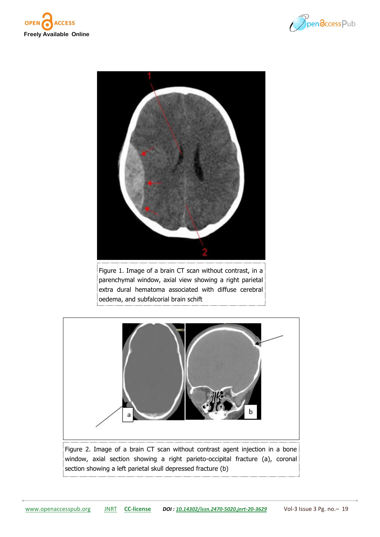





Figure 1. Image of a brain CT scan without contrast, in a parenchymal window, axial view showing a right parietal extra dural hematoma associated with diffuse cerebral oedema, and subfalcorial brain schift



window, axial section showing a right parieto-occipital fracture (a), coronal section showing a left parietal skull depressed fracture (b)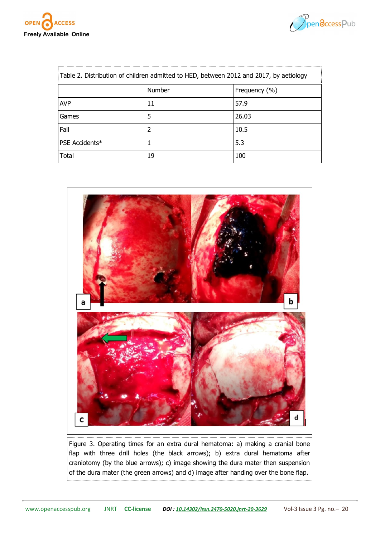



| Table 2. Distribution of children admitted to HED, between 2012 and 2017, by aetiology |        |               |  |  |
|----------------------------------------------------------------------------------------|--------|---------------|--|--|
|                                                                                        | Number | Frequency (%) |  |  |
| <b>AVP</b>                                                                             |        | 57.9          |  |  |
| Games                                                                                  |        | 26.03         |  |  |
| Fall                                                                                   |        | 10.5          |  |  |
| PSE Accidents*                                                                         |        | 5.3           |  |  |
| Total                                                                                  | 19     |               |  |  |



Figure 3. Operating times for an extra dural hematoma: a) making a cranial bone flap with three drill holes (the black arrows); b) extra dural hematoma after craniotomy (by the blue arrows); c) image showing the dura mater then suspension of the dura mater (the green arrows) and d) image after handing over the bone flap.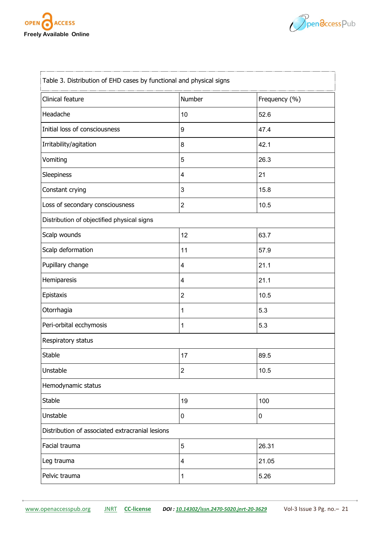



| Table 3. Distribution of EHD cases by functional and physical signs |                |               |  |  |
|---------------------------------------------------------------------|----------------|---------------|--|--|
| Clinical feature                                                    | Number         | Frequency (%) |  |  |
| Headache                                                            | 10             | 52.6          |  |  |
| Initial loss of consciousness                                       | 9              | 47.4          |  |  |
| Irritability/agitation                                              | 8              | 42.1          |  |  |
| Vomiting                                                            | 5              | 26.3          |  |  |
| Sleepiness                                                          | 4              | 21            |  |  |
| Constant crying                                                     | 3              | 15.8          |  |  |
| Loss of secondary consciousness                                     | $\overline{2}$ | 10.5          |  |  |
| Distribution of objectified physical signs                          |                |               |  |  |
| Scalp wounds                                                        | 12             | 63.7          |  |  |
| Scalp deformation                                                   | 11             | 57.9          |  |  |
| Pupillary change                                                    | 4              | 21.1          |  |  |
| Hemiparesis                                                         | 4              | 21.1          |  |  |
| Epistaxis                                                           | $\overline{2}$ | 10.5          |  |  |
| Otorrhagia                                                          | 1              | 5.3           |  |  |
| Peri-orbital ecchymosis                                             | 1              | 5.3           |  |  |
| Respiratory status                                                  |                |               |  |  |
| Stable                                                              | 17             | 89.5          |  |  |
| Unstable                                                            | $\overline{c}$ | 10.5          |  |  |
| Hemodynamic status                                                  |                |               |  |  |
| Stable                                                              | 19             | 100           |  |  |
| Unstable                                                            | 0              | 0             |  |  |
| Distribution of associated extracranial lesions                     |                |               |  |  |
| Facial trauma                                                       | 5              | 26.31         |  |  |
| Leg trauma                                                          | 4              | 21.05         |  |  |
| Pelvic trauma                                                       | 1              | 5.26          |  |  |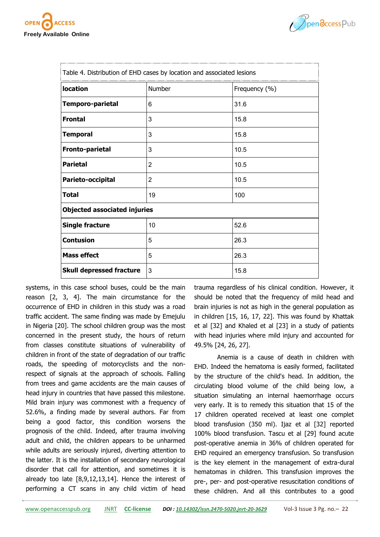



| Table 4. Distribution of EHD cases by location and associated lesions |                |               |  |  |
|-----------------------------------------------------------------------|----------------|---------------|--|--|
| location                                                              | Number         | Frequency (%) |  |  |
| Temporo-parietal                                                      | 6              | 31.6          |  |  |
| <b>Frontal</b>                                                        | 3              | 15.8          |  |  |
| <b>Temporal</b>                                                       | 3              | 15.8          |  |  |
| <b>Fronto-parietal</b>                                                | 3              | 10.5          |  |  |
| <b>Parietal</b>                                                       | 2              | 10.5          |  |  |
| Parieto-occipital                                                     | $\overline{2}$ | 10.5          |  |  |
| <b>Total</b>                                                          | 19             | 100           |  |  |
| <b>Objected associated injuries</b>                                   |                |               |  |  |
| <b>Single fracture</b>                                                | 10             | 52.6          |  |  |
| <b>Contusion</b>                                                      | 5              | 26.3          |  |  |
| <b>Mass effect</b>                                                    | 5              | 26.3          |  |  |
| <b>Skull depressed fracture</b>                                       | 3              | 15.8          |  |  |

systems, in this case school buses, could be the main reason [2, 3, 4]. The main circumstance for the occurrence of EHD in children in this study was a road traffic accident. The same finding was made by Emejulu in Nigeria [20]. The school children group was the most concerned in the present study, the hours of return from classes constitute situations of vulnerability of children in front of the state of degradation of our traffic roads, the speeding of motorcyclists and the nonrespect of signals at the approach of schools. Falling from trees and game accidents are the main causes of head injury in countries that have passed this milestone. Mild brain injury was commonest with a frequency of 52.6%, a finding made by several authors. Far from being a good factor, this condition worsens the prognosis of the child. Indeed, after trauma involving adult and child, the children appears to be unharmed while adults are seriously injured, diverting attention to the latter. It is the installation of secondary neurological disorder that call for attention, and sometimes it is already too late [8,9,12,13,14]. Hence the interest of performing a CT scans in any child victim of head

trauma regardless of his clinical condition. However, it should be noted that the frequency of mild head and brain injuries is not as high in the general population as in children [15, 16, 17, 22]. This was found by Khattak et al [32] and Khaled et al [23] in a study of patients with head injuries where mild injury and accounted for 49.5% [24, 26, 27].

Anemia is a cause of death in children with EHD. Indeed the hematoma is easily formed, facilitated by the structure of the child's head. In addition, the circulating blood volume of the child being low, a situation simulating an internal haemorrhage occurs very early. It is to remedy this situation that 15 of the 17 children operated received at least one complet blood transfusion (350 ml). Ijaz et al [32] reported 100% blood transfusion. Tascu et al [29] found acute post-operative anemia in 36% of children operated for EHD required an emergency transfusion. So transfusion is the key element in the management of extra-dural hematomas in children. This transfusion improves the pre-, per- and post-operative resuscitation conditions of these children. And all this contributes to a good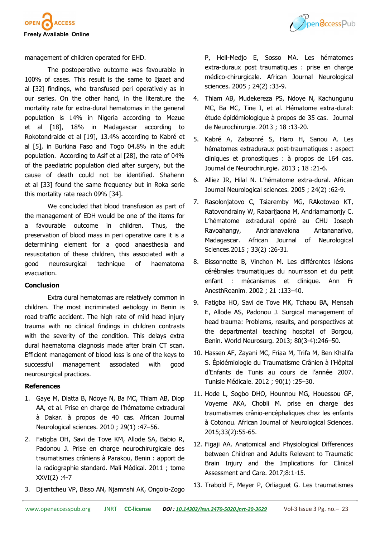



management of children operated for EHD.

The postoperative outcome was favourable in 100% of cases. This result is the same to Ijazet and al [32] findings, who transfused peri operatively as in our series. On the other hand, in the literature the mortality rate for extra-dural hematomas in the general population is 14% in Nigeria according to Mezue et al [18], 18% in Madagascar according to Rokotondraide et al [19], 13.4% according to Kabré et al [5], in Burkina Faso and Togo 04.8% in the adult population. According to Asif et al [28], the rate of 04% of the paediatric population died after surgery, but the cause of death could not be identified. Shahenn et al [33] found the same frequency but in Roka serie this mortality rate reach 09% [34].

We concluded that blood transfusion as part of the management of EDH would be one of the items for a favourable outcome in children. Thus, the preservation of blood mass in peri operative care it is a determining element for a good anaesthesia and resuscitation of these children, this associated with a good neurosurgical technique of haematoma evacuation.

#### **Conclusion**

Extra dural hematomas are relatively common in children. The most incriminated aetiology in Benin is road traffic accident. The high rate of mild head injury trauma with no clinical findings in children contrasts with the severity of the condition. This delays extra dural haematoma diagnosis made after brain CT scan. Efficient management of blood loss is one of the keys to successful management associated with good neurosurgical practices.

#### **References**

- 1. Gaye M, Diatta B, Ndoye N, Ba MC, Thiam AB, Diop AA, et al. Prise en charge de l'hématome extradural à Dakar. à propos de 40 cas. African Journal Neurological sciences. 2010 ; 29(1) :47–56.
- 2. Fatigba OH, Savi de Tove KM, Allode SA, Babio R, Padonou J. Prise en charge neurochirurgicale des traumatismes crâniens à Parakou, Benin : apport de la radiographie standard. Mali Médical. 2011 ; tome XXVI(2) :4-7
- 3. Djientcheu VP, Bisso AN, Njamnshi AK, Ongolo-Zogo

P, Hell-Medjo E, Sosso MA. Les hématomes extra-duraux post traumatiques : prise en charge médico-chirurgicale. African Journal Neurological sciences. 2005 ; 24(2) :33-9.

- 4. Thiam AB, Mudekereza PS, Ndoye N, Kachungunu MC, Ba MC, Tine I, et al. Hématome extra-dural: étude épidémiologique à propos de 35 cas. Journal de Neurochirurgie. 2013 ; 18 :13-20.
- 5. Kabré A, Zabsonré S, Haro H, Sanou A. Les hématomes extraduraux post-traumatiques : aspect cliniques et pronostiques : à propos de 164 cas. Journal de Neurochirurgie. 2013 ; 18 :21-6.
- 6. Alliez JR, Hilal N. L'hématome extra-dural. African Journal Neurological sciences. 2005 ; 24(2) :62-9.
- 7. Rasolonjatovo C, Tsiaremby MG, RAkotovao KT, Ratovondrainy W, Rabarijaona M, Andriamamonjy C. L'hématome extradural opéré au CHU Joseph Ravoahangy, Andrianavalona Antananarivo, Madagascar. African Journal of Neurological Sciences.2015 ; 33(2) :26-31.
- 8. Bissonnette B, Vinchon M. Les différentes lésions cérébrales traumatiques du nourrisson et du petit enfant : mécanismes et clinique. Ann Fr AnesthReanim. 2002 ; 21 :133–40.
- 9. Fatigba HO, Savi de Tove MK, Tchaou BA, Mensah E, Allode AS, Padonou J. Surgical management of head trauma: Problems, results, and perspectives at the departmental teaching hospital of Borgou, Benin. World Neurosurg. 2013; 80(3-4):246–50.
- 10. Hassen AF, Zayani MC, Friaa M, Trifa M, Ben Khalifa S. Épidémiologie du Traumatisme Crânien à l'Hôpital d'Enfants de Tunis au cours de l'année 2007. Tunisie Médicale. 2012 ; 90(1) :25–30.
- 11. Hode L, Sogbo DHO, Hounnou MG, Houessou GF, Voyeme AKA, Chobli M. prise en charge des traumatismes crânio-encéphaliques chez les enfants à Cotonou. African Journal of Neurological Sciences. 2015;33(2):55-65.
- 12. Figaji AA. Anatomical and Physiological Differences between Children and Adults Relevant to Traumatic Brain Injury and the Implications for Clinical Assessment and Care. 2017;8:1-15.
- 13. Trabold F, Meyer P, Orliaguet G. Les traumatismes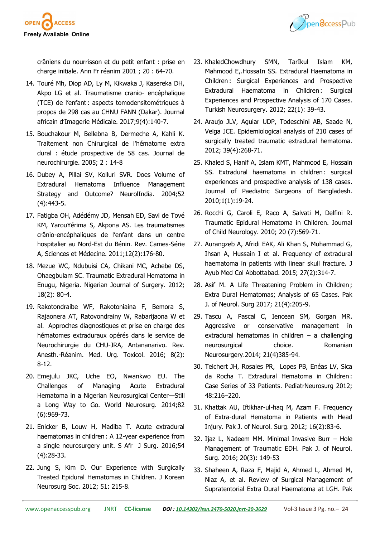

crâniens du nourrisson et du petit enfant : prise en charge initiale. Ann Fr réanim 2001 ; 20 : 64-70.

- 14. Touré Mh, Diop AD, Ly M, Kikwaka J, Kasereka DH, Akpo LG et al. Traumatisme cranio- encéphalique (TCE) de l'enfant : aspects tomodensitométriques à propos de 298 cas au CHNU FANN (Dakar). Journal africain d'Imagerie Médicale. 2017;9(4):140-7.
- 15. Bouchakour M, Bellebna B, Dermeche A, Kahli K. Traitement non Chirurgical de l'hématome extra dural : étude prospective de 58 cas. Journal de neurochirurgie. 2005; 2 : 14-8
- 16. Dubey A, Pillai SV, Kolluri SVR. Does Volume of Extradural Hematoma Influence Management Strategy and Outcome? NeurolIndia. 2004;52 (4):443-5.
- 17. Fatigba OH, Adédémy JD, Mensah ED, Savi de Tové KM, YarouYérima S, Akpona AS. Les traumatismes crânio-encéphaliques de l'enfant dans un centre hospitalier au Nord-Est du Bénin. Rev. Cames-Série A, Sciences et Médecine. 2011;12(2):176-80.
- 18. Mezue WC, Ndubuisi CA, Chikani MC, Achebe DS, Ohaegbulam SC. Traumatic Extradural Hematoma in Enugu, Nigeria. Nigerian Journal of Surgery. 2012; 18(2): 80-4.
- 19. Rakotondraibe WF, Rakotoniaina F, Bemora S, Rajaonera AT, Ratovondrainy W, Rabarijaona W et al. Approches diagnostiques et prise en charge des hématomes extraduraux opérés dans le service de Neurochirurgie du CHU-JRA, Antananarivo. Rev. Anesth.-Réanim. Med. Urg. Toxicol. 2016; 8(2): 8-12.
- 20. Emejulu JKC, Uche EO, Nwankwo EU. The Challenges of Managing Acute Extradural Hematoma in a Nigerian Neurosurgical Center—Still a Long Way to Go. World Neurosurg. 2014;82 (6):969-73.
- 21. Enicker B, Louw H, Madiba T. Acute extradural haematomas in children : A 12-year experience from a single neurosurgery unit. S Afr J Surg. 2016;54 (4):28-33.
- 22. Jung S, Kim D. Our Experience with Surgically Treated Epidural Hematomas in Children. J Korean Neurosurg Soc. 2012; 51: 215-8.
- 23. KhaledChowdhury SMN, TarIkul Islam KM, Mahmood E,.HossaIn SS. Extradural Haematoma in Children : Surgical Experiences and Prospective Extradural Haematoma in Children: Surgical Experiences and Prospective Analysis of 170 Cases. Turkish Neurosurgery. 2012; 22(1): 39-43.
- 24. Araujo JLV, Aguiar UDP, Todeschini AB, Saade N, Veiga JCE. Epidemiological analysis of 210 cases of surgically treated traumatic extradural hematoma. 2012; 39(4):268-71.
- 25. Khaled S, Hanif A, Islam KMT, Mahmood E, Hossain SS. Extradural haematoma in children : surgical experiences and prospective analysis of 138 cases. Journal of Paediatric Surgeons of Bangladesh. 2010;1(1):19-24.
- 26. Rocchi G, Caroli E, Raco A, Salvati M, Delfini R. Traumatic Epidural Hematoma in Children. Journal of Child Neurology. 2010; 20 (7):569-71.
- 27. Aurangzeb A, Afridi EAK, Ali Khan S, Muhammad G, Ihsan A, Hussain I et al. Frequency of extradural haematoma in patients with linear skull fracture. J Ayub Med Col Abbottabad. 2015; 27(2):314-7.
- 28. Asif M. A Life Threatening Problem in Children; Extra Dural Hematomas; Analysis of 65 Cases. Pak J. of Neurol. Surg 2017; 21(4):205-9.
- 29. Tascu A, Pascal C, Iencean SM, Gorgan MR. Aggressive or conservative management in extradural hematomas in children – a challenging neurosurgical choice. Romanian Neurosurgery.2014; 21(4)385-94.
- 30. Teichert JH, Rosales PR, Lopes PB, Enéas LV, Sica da Rocha T. Extradural Hematoma in Children : Case Series of 33 Patients. PediatrNeurosurg 2012; 48:216–220.
- 31. Khattak AU, Iftikhar-ul-haq M, Azam F. Frequency of Extra-dural Hematoma in Patients with Head Injury. Pak J. of Neurol. Surg. 2012; 16(2):83-6.
- 32. Ijaz L, Nadeem MM. Minimal Invasive Burr Hole Management of Traumatic EDH. Pak J. of Neurol. Surg. 2016; 20(3): 149-53
- 33. Shaheen A, Raza F, Majid A, Ahmed L, Ahmed M, Niaz A, et al. Review of Surgical Management of Supratentorial Extra Dural Haematoma at LGH. Pak